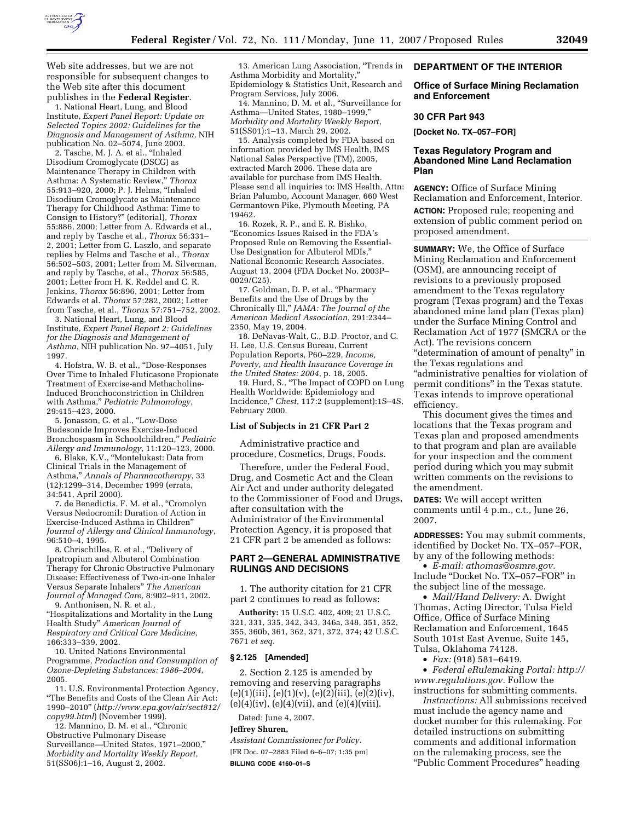

Web site addresses, but we are not responsible for subsequent changes to the Web site after this document publishes in the **Federal Register**. 1. National Heart, Lung, and Blood

Institute, *Expert Panel Report: Update on Selected Topics 2002: Guidelines for the Diagnosis and Management of Asthma*, NIH publication No. 02–5074, June 2003.

2. Tasche, M. J. A. et al., ''Inhaled Disodium Cromoglycate (DSCG) as Maintenance Therapy in Children with Asthma: A Systematic Review,'' *Thorax*  55:913–920, 2000; P. J. Helms, ''Inhaled Disodium Cromoglycate as Maintenance Therapy for Childhood Asthma: Time to Consign to History?'' (editorial), *Thorax*  55:886, 2000; Letter from A. Edwards et al., and reply by Tasche et al., *Thorax* 56:331– 2, 2001; Letter from G. Laszlo, and separate replies by Helms and Tasche et al., *Thorax*  56:502–503, 2001; Letter from M. Silverman, and reply by Tasche, et al., *Thorax* 56:585, 2001; Letter from H. K. Reddel and C. R. Jenkins, *Thorax* 56:896, 2001; Letter from Edwards et al. *Thorax* 57:282, 2002; Letter from Tasche, et al., *Thorax* 57:751–752, 2002.

3. National Heart, Lung, and Blood Institute, *Expert Panel Report 2: Guidelines for the Diagnosis and Management of Asthma*, NIH publication No. 97–4051, July 1997.

4. Hofstra, W. B. et al., ''Dose-Responses Over Time to Inhaled Fluticasone Propionate Treatment of Exercise-and Methacholine-Induced Bronchoconstriction in Children with Asthma,'' *Pediatric Pulmonology*, 29:415–423, 2000.

5. Jonasson, G. et al., ''Low-Dose Budesonide Improves Exercise-Induced Bronchospasm in Schoolchildren,'' *Pediatric Allergy and Immunology*, 11:120–123, 2000.

6. Blake, K.V., ''Montelukast: Data from Clinical Trials in the Management of Asthma,'' *Annals of Pharmacotherapy*, 33 (12):1299–314, December 1999 (errata, 34:541, April 2000).

7. de Benedictis, F. M. et al., ''Cromolyn Versus Nedocromil: Duration of Action in Exercise-Induced Asthma in Children'' *Journal of Allergy and Clinical Immunology*, 96:510–4, 1995.

8. Chrischilles, E. et al., ''Delivery of Ipratropium and Albuterol Combination Therapy for Chronic Obstructive Pulmonary Disease: Effectiveness of Two-in-one Inhaler Versus Separate Inhalers'' *The American Journal of Managed Care*, 8:902–911, 2002. 9. Anthonisen, N. R. et al.,

''Hospitalizations and Mortality in the Lung Health Study'' *American Journal of Respiratory and Critical Care Medicine*, 166:333–339, 2002.

10. United Nations Environmental Programme, *Production and Consumption of Ozone-Depleting Substances: 1986–2004*, 2005.

11. U.S. Environmental Protection Agency, ''The Benefits and Costs of the Clean Air Act: 1990–2010'' (*http://www.epa.gov/air/sect812/ copy99.html*) (November 1999).

12. Mannino, D. M. et al., ''Chronic Obstructive Pulmonary Disease Surveillance—United States, 1971–2000,'' *Morbidity and Mortality Weekly Report*, 51(SS06):1–16, August 2, 2002.

13. American Lung Association, ''Trends in Asthma Morbidity and Mortality,'' Epidemiology & Statistics Unit, Research and Program Services, July 2006.

14. Mannino, D. M. et al., ''Surveillance for Asthma—United States, 1980–1999,'' *Morbidity and Mortality Weekly Report*, 51(SS01):1–13, March 29, 2002.

15. Analysis completed by FDA based on information provided by IMS Health, IMS National Sales Perspective (TM), 2005, extracted March 2006. These data are available for purchase from IMS Health. Please send all inquiries to: IMS Health, Attn: Brian Palumbo, Account Manager, 660 West Germantown Pike, Plymouth Meeting, PA 19462.

16. Rozek, R. P., and E. R. Bishko, ''Economics Issues Raised in the FDA's Proposed Rule on Removing the Essential-Use Designation for Albuterol MDIs,'' National Economic Research Associates, August 13, 2004 (FDA Docket No. 2003P– 0029/C25).

17. Goldman, D. P. et al., "Pharmacy Benefits and the Use of Drugs by the Chronically Ill,'' *JAMA: The Journal of the American Medical Association*, 291:2344– 2350, May 19, 2004.

18. DeNavas-Walt, C., B.D. Proctor, and C. H. Lee, U.S. Census Bureau, Current Population Reports, P60–229, *Income, Poverty, and Health Insurance Coverage in the United States: 2004*, p. 18, 2005.

19. Hurd, S., ''The Impact of COPD on Lung Health Worldwide: Epidemiology and Incidence,'' *Chest*, 117:2 (supplement):1S–4S, February 2000.

#### **List of Subjects in 21 CFR Part 2**

Administrative practice and procedure, Cosmetics, Drugs, Foods.

Therefore, under the Federal Food, Drug, and Cosmetic Act and the Clean Air Act and under authority delegated to the Commissioner of Food and Drugs, after consultation with the Administrator of the Environmental Protection Agency, it is proposed that 21 CFR part 2 be amended as follows:

## **PART 2—GENERAL ADMINISTRATIVE RULINGS AND DECISIONS**

1. The authority citation for 21 CFR part 2 continues to read as follows:

**Authority:** 15 U.S.C. 402, 409; 21 U.S.C. 321, 331, 335, 342, 343, 346a, 348, 351, 352, 355, 360b, 361, 362, 371, 372, 374; 42 U.S.C. 7671 *et seq.* 

#### **§ 2.125 [Amended]**

2. Section 2.125 is amended by removing and reserving paragraphs  $(e)(1)(iii), (e)(1)(v), (e)(2)(iii), (e)(2)(iv),$  $(e)(4)(iv)$ ,  $(e)(4)(vii)$ , and  $(e)(4)(viii)$ .

Dated: June 4, 2007.

### **Jeffrey Shuren,**

*Assistant Commissioner for Policy.* 

[FR Doc. 07–2883 Filed 6–6–07; 1:35 pm] **BILLING CODE 4160–01–S** 

### **DEPARTMENT OF THE INTERIOR**

### **Office of Surface Mining Reclamation and Enforcement**

#### **30 CFR Part 943**

**[Docket No. TX–057–FOR]** 

## **Texas Regulatory Program and Abandoned Mine Land Reclamation Plan**

**AGENCY:** Office of Surface Mining Reclamation and Enforcement, Interior.

**ACTION:** Proposed rule; reopening and extension of public comment period on proposed amendment.

**SUMMARY:** We, the Office of Surface Mining Reclamation and Enforcement (OSM), are announcing receipt of revisions to a previously proposed amendment to the Texas regulatory program (Texas program) and the Texas abandoned mine land plan (Texas plan) under the Surface Mining Control and Reclamation Act of 1977 (SMCRA or the Act). The revisions concern ''determination of amount of penalty'' in the Texas regulations and ''administrative penalties for violation of permit conditions'' in the Texas statute. Texas intends to improve operational efficiency.

This document gives the times and locations that the Texas program and Texas plan and proposed amendments to that program and plan are available for your inspection and the comment period during which you may submit written comments on the revisions to the amendment.

**DATES:** We will accept written comments until 4 p.m., c.t., June 26, 2007.

**ADDRESSES:** You may submit comments, identified by Docket No. TX–057–FOR, by any of the following methods:

• *E-mail: athomas@osmre.gov.*  Include ''Docket No. TX–057–FOR'' in the subject line of the message.

• *Mail/Hand Delivery:* A. Dwight Thomas, Acting Director, Tulsa Field Office, Office of Surface Mining Reclamation and Enforcement, 1645 South 101st East Avenue, Suite 145, Tulsa, Oklahoma 74128.

• *Fax:* (918) 581–6419.

• *Federal eRulemaking Portal: http:// www.regulations.gov.* Follow the instructions for submitting comments.

*Instructions:* All submissions received must include the agency name and docket number for this rulemaking. For detailed instructions on submitting comments and additional information on the rulemaking process, see the ''Public Comment Procedures'' heading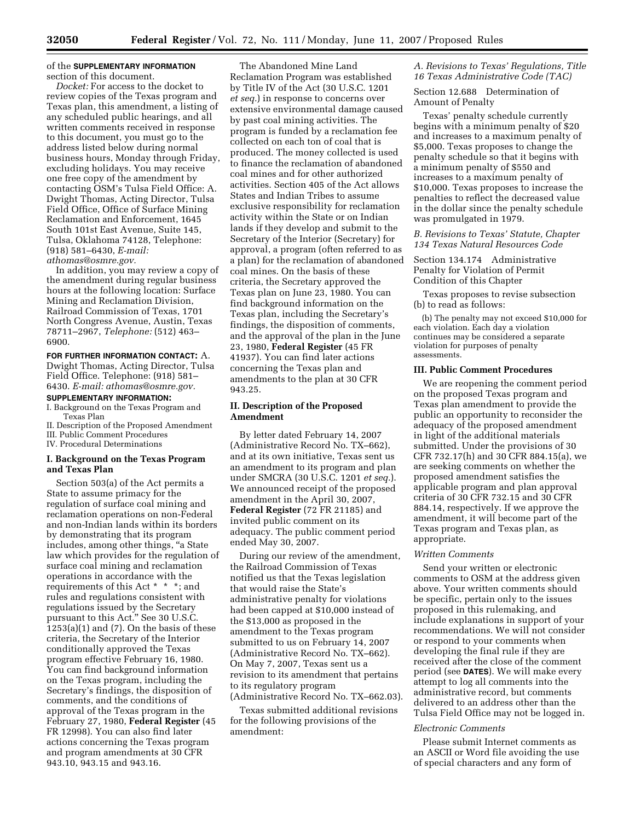## of the **SUPPLEMENTARY INFORMATION** section of this document.

*Docket:* For access to the docket to review copies of the Texas program and Texas plan, this amendment, a listing of any scheduled public hearings, and all written comments received in response to this document, you must go to the address listed below during normal business hours, Monday through Friday, excluding holidays. You may receive one free copy of the amendment by contacting OSM's Tulsa Field Office: A. Dwight Thomas, Acting Director, Tulsa Field Office, Office of Surface Mining Reclamation and Enforcement, 1645 South 101st East Avenue, Suite 145, Tulsa, Oklahoma 74128, Telephone: (918) 581–6430, *E-mail: athomas@osmre.gov.* 

In addition, you may review a copy of the amendment during regular business hours at the following location: Surface Mining and Reclamation Division, Railroad Commission of Texas, 1701 North Congress Avenue, Austin, Texas 78711–2967, *Telephone:* (512) 463– 6900.

#### **FOR FURTHER INFORMATION CONTACT:** A.

Dwight Thomas, Acting Director, Tulsa Field Office. Telephone: (918) 581– 6430. *E-mail: athomas@osmre.gov.* 

# **SUPPLEMENTARY INFORMATION:**

I. Background on the Texas Program and Texas Plan

II. Description of the Proposed Amendment

III. Public Comment Procedures

IV. Procedural Determinations

### **I. Background on the Texas Program and Texas Plan**

Section 503(a) of the Act permits a State to assume primacy for the regulation of surface coal mining and reclamation operations on non-Federal and non-Indian lands within its borders by demonstrating that its program includes, among other things, ''a State law which provides for the regulation of surface coal mining and reclamation operations in accordance with the requirements of this Act \* \* \*; and rules and regulations consistent with regulations issued by the Secretary pursuant to this Act.'' See 30 U.S.C.  $1253(a)(1)$  and  $(7)$ . On the basis of these criteria, the Secretary of the Interior conditionally approved the Texas program effective February 16, 1980. You can find background information on the Texas program, including the Secretary's findings, the disposition of comments, and the conditions of approval of the Texas program in the February 27, 1980, **Federal Register** (45 FR 12998). You can also find later actions concerning the Texas program and program amendments at 30 CFR 943.10, 943.15 and 943.16.

The Abandoned Mine Land Reclamation Program was established by Title IV of the Act (30 U.S.C. 1201 *et seq.*) in response to concerns over extensive environmental damage caused by past coal mining activities. The program is funded by a reclamation fee collected on each ton of coal that is produced. The money collected is used to finance the reclamation of abandoned coal mines and for other authorized activities. Section 405 of the Act allows States and Indian Tribes to assume exclusive responsibility for reclamation activity within the State or on Indian lands if they develop and submit to the Secretary of the Interior (Secretary) for approval, a program (often referred to as a plan) for the reclamation of abandoned coal mines. On the basis of these criteria, the Secretary approved the Texas plan on June 23, 1980. You can find background information on the Texas plan, including the Secretary's findings, the disposition of comments, and the approval of the plan in the June 23, 1980, **Federal Register** (45 FR 41937). You can find later actions concerning the Texas plan and amendments to the plan at 30 CFR 943.25.

## **II. Description of the Proposed Amendment**

By letter dated February 14, 2007 (Administrative Record No. TX–662), and at its own initiative, Texas sent us an amendment to its program and plan under SMCRA (30 U.S.C. 1201 *et seq.*). We announced receipt of the proposed amendment in the April 30, 2007, **Federal Register** (72 FR 21185) and invited public comment on its adequacy. The public comment period ended May 30, 2007.

During our review of the amendment, the Railroad Commission of Texas notified us that the Texas legislation that would raise the State's administrative penalty for violations had been capped at \$10,000 instead of the \$13,000 as proposed in the amendment to the Texas program submitted to us on February 14, 2007 (Administrative Record No. TX–662). On May 7, 2007, Texas sent us a revision to its amendment that pertains to its regulatory program (Administrative Record No. TX–662.03).

Texas submitted additional revisions for the following provisions of the amendment:

## *A. Revisions to Texas' Regulations, Title 16 Texas Administrative Code (TAC)*

Section 12.688 Determination of Amount of Penalty

Texas' penalty schedule currently begins with a minimum penalty of \$20 and increases to a maximum penalty of \$5,000. Texas proposes to change the penalty schedule so that it begins with a minimum penalty of \$550 and increases to a maximum penalty of \$10,000. Texas proposes to increase the penalties to reflect the decreased value in the dollar since the penalty schedule was promulgated in 1979.

## *B. Revisions to Texas' Statute, Chapter 134 Texas Natural Resources Code*

Section 134.174 Administrative Penalty for Violation of Permit Condition of this Chapter

Texas proposes to revise subsection (b) to read as follows:

(b) The penalty may not exceed \$10,000 for each violation. Each day a violation continues may be considered a separate violation for purposes of penalty assessments.

### **III. Public Comment Procedures**

We are reopening the comment period on the proposed Texas program and Texas plan amendment to provide the public an opportunity to reconsider the adequacy of the proposed amendment in light of the additional materials submitted. Under the provisions of 30 CFR 732.17(h) and 30 CFR 884.15(a), we are seeking comments on whether the proposed amendment satisfies the applicable program and plan approval criteria of 30 CFR 732.15 and 30 CFR 884.14, respectively. If we approve the amendment, it will become part of the Texas program and Texas plan, as appropriate.

#### *Written Comments*

Send your written or electronic comments to OSM at the address given above. Your written comments should be specific, pertain only to the issues proposed in this rulemaking, and include explanations in support of your recommendations. We will not consider or respond to your comments when developing the final rule if they are received after the close of the comment period (see **DATES**). We will make every attempt to log all comments into the administrative record, but comments delivered to an address other than the Tulsa Field Office may not be logged in.

#### *Electronic Comments*

Please submit Internet comments as an ASCII or Word file avoiding the use of special characters and any form of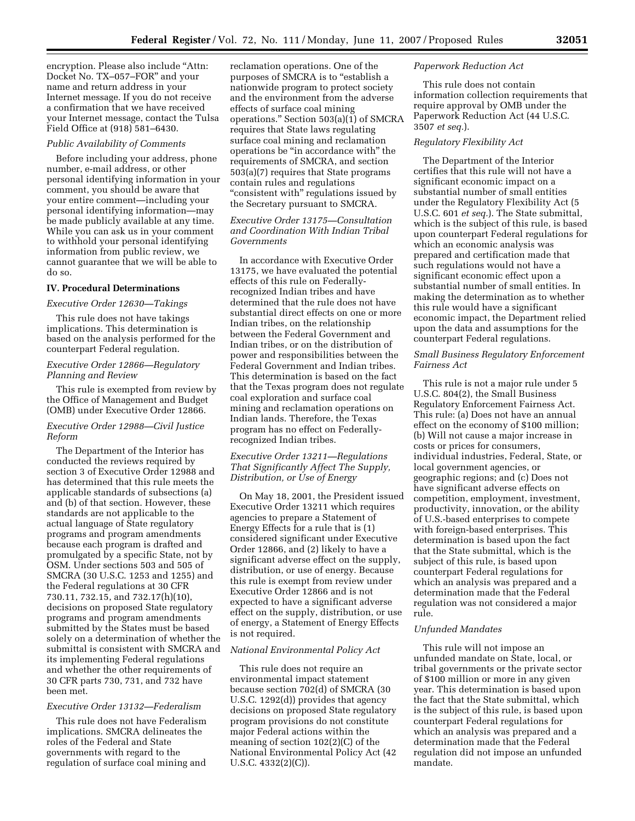encryption. Please also include ''Attn: Docket No. TX–057–FOR'' and your name and return address in your Internet message. If you do not receive a confirmation that we have received your Internet message, contact the Tulsa Field Office at (918) 581–6430.

#### *Public Availability of Comments*

Before including your address, phone number, e-mail address, or other personal identifying information in your comment, you should be aware that your entire comment—including your personal identifying information—may be made publicly available at any time. While you can ask us in your comment to withhold your personal identifying information from public review, we cannot guarantee that we will be able to do so.

#### **IV. Procedural Determinations**

### *Executive Order 12630—Takings*

This rule does not have takings implications. This determination is based on the analysis performed for the counterpart Federal regulation.

# *Executive Order 12866—Regulatory Planning and Review*

This rule is exempted from review by the Office of Management and Budget (OMB) under Executive Order 12866.

### *Executive Order 12988—Civil Justice Reform*

The Department of the Interior has conducted the reviews required by section 3 of Executive Order 12988 and has determined that this rule meets the applicable standards of subsections (a) and (b) of that section. However, these standards are not applicable to the actual language of State regulatory programs and program amendments because each program is drafted and promulgated by a specific State, not by OSM. Under sections 503 and 505 of SMCRA (30 U.S.C. 1253 and 1255) and the Federal regulations at 30 CFR 730.11, 732.15, and 732.17(h)(10), decisions on proposed State regulatory programs and program amendments submitted by the States must be based solely on a determination of whether the submittal is consistent with SMCRA and its implementing Federal regulations and whether the other requirements of 30 CFR parts 730, 731, and 732 have been met.

## *Executive Order 13132—Federalism*

This rule does not have Federalism implications. SMCRA delineates the roles of the Federal and State governments with regard to the regulation of surface coal mining and

reclamation operations. One of the purposes of SMCRA is to "establish a nationwide program to protect society and the environment from the adverse effects of surface coal mining operations.'' Section 503(a)(1) of SMCRA requires that State laws regulating surface coal mining and reclamation operations be ''in accordance with'' the requirements of SMCRA, and section 503(a)(7) requires that State programs contain rules and regulations ''consistent with'' regulations issued by the Secretary pursuant to SMCRA.

# *Executive Order 13175—Consultation and Coordination With Indian Tribal Governments*

In accordance with Executive Order 13175, we have evaluated the potential effects of this rule on Federallyrecognized Indian tribes and have determined that the rule does not have substantial direct effects on one or more Indian tribes, on the relationship between the Federal Government and Indian tribes, or on the distribution of power and responsibilities between the Federal Government and Indian tribes. This determination is based on the fact that the Texas program does not regulate coal exploration and surface coal mining and reclamation operations on Indian lands. Therefore, the Texas program has no effect on Federallyrecognized Indian tribes.

## *Executive Order 13211—Regulations That Significantly Affect The Supply, Distribution, or Use of Energy*

On May 18, 2001, the President issued Executive Order 13211 which requires agencies to prepare a Statement of Energy Effects for a rule that is (1) considered significant under Executive Order 12866, and (2) likely to have a significant adverse effect on the supply, distribution, or use of energy. Because this rule is exempt from review under Executive Order 12866 and is not expected to have a significant adverse effect on the supply, distribution, or use of energy, a Statement of Energy Effects is not required.

#### *National Environmental Policy Act*

This rule does not require an environmental impact statement because section 702(d) of SMCRA (30 U.S.C. 1292(d)) provides that agency decisions on proposed State regulatory program provisions do not constitute major Federal actions within the meaning of section 102(2)(C) of the National Environmental Policy Act (42 U.S.C. 4332(2)(C)).

#### *Paperwork Reduction Act*

This rule does not contain information collection requirements that require approval by OMB under the Paperwork Reduction Act (44 U.S.C. 3507 *et seq.*).

## *Regulatory Flexibility Act*

The Department of the Interior certifies that this rule will not have a significant economic impact on a substantial number of small entities under the Regulatory Flexibility Act (5 U.S.C. 601 *et seq.*). The State submittal, which is the subject of this rule, is based upon counterpart Federal regulations for which an economic analysis was prepared and certification made that such regulations would not have a significant economic effect upon a substantial number of small entities. In making the determination as to whether this rule would have a significant economic impact, the Department relied upon the data and assumptions for the counterpart Federal regulations.

## *Small Business Regulatory Enforcement Fairness Act*

This rule is not a major rule under 5 U.S.C. 804(2), the Small Business Regulatory Enforcement Fairness Act. This rule: (a) Does not have an annual effect on the economy of \$100 million; (b) Will not cause a major increase in costs or prices for consumers, individual industries, Federal, State, or local government agencies, or geographic regions; and (c) Does not have significant adverse effects on competition, employment, investment, productivity, innovation, or the ability of U.S.-based enterprises to compete with foreign-based enterprises. This determination is based upon the fact that the State submittal, which is the subject of this rule, is based upon counterpart Federal regulations for which an analysis was prepared and a determination made that the Federal regulation was not considered a major rule.

#### *Unfunded Mandates*

This rule will not impose an unfunded mandate on State, local, or tribal governments or the private sector of \$100 million or more in any given year. This determination is based upon the fact that the State submittal, which is the subject of this rule, is based upon counterpart Federal regulations for which an analysis was prepared and a determination made that the Federal regulation did not impose an unfunded mandate.